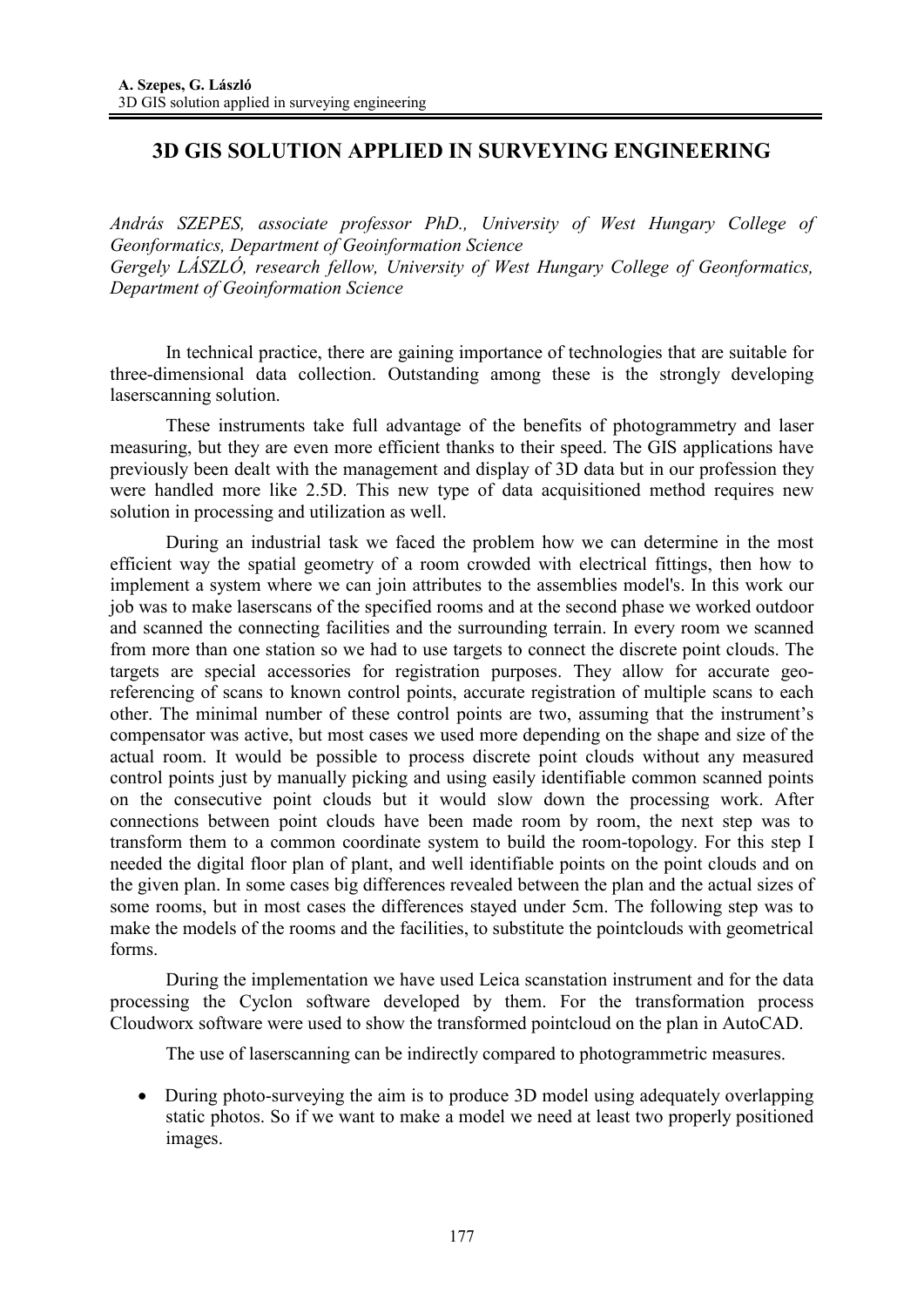## **3D GIS SOLUTION APPLIED IN SURVEYING ENGINEERING**

*András SZEPES, associate professor PhD., University of West Hungary College of Geonformatics, Department of Geoinformation Science Gergely LÁSZLÓ, research fellow, University of West Hungary College of Geonformatics, Department of Geoinformation Science* 

In technical practice, there are gaining importance of technologies that are suitable for three-dimensional data collection. Outstanding among these is the strongly developing laserscanning solution.

These instruments take full advantage of the benefits of photogrammetry and laser measuring, but they are even more efficient thanks to their speed. The GIS applications have previously been dealt with the management and display of 3D data but in our profession they were handled more like 2.5D. This new type of data acquisitioned method requires new solution in processing and utilization as well.

During an industrial task we faced the problem how we can determine in the most efficient way the spatial geometry of a room crowded with electrical fittings, then how to implement a system where we can join attributes to the assemblies model's. In this work our job was to make laserscans of the specified rooms and at the second phase we worked outdoor and scanned the connecting facilities and the surrounding terrain. In every room we scanned from more than one station so we had to use targets to connect the discrete point clouds. The targets are special accessories for registration purposes. They allow for accurate georeferencing of scans to known control points, accurate registration of multiple scans to each other. The minimal number of these control points are two, assuming that the instrument's compensator was active, but most cases we used more depending on the shape and size of the actual room. It would be possible to process discrete point clouds without any measured control points just by manually picking and using easily identifiable common scanned points on the consecutive point clouds but it would slow down the processing work. After connections between point clouds have been made room by room, the next step was to transform them to a common coordinate system to build the room-topology. For this step I needed the digital floor plan of plant, and well identifiable points on the point clouds and on the given plan. In some cases big differences revealed between the plan and the actual sizes of some rooms, but in most cases the differences stayed under 5cm. The following step was to make the models of the rooms and the facilities, to substitute the pointclouds with geometrical forms.

During the implementation we have used Leica scanstation instrument and for the data processing the Cyclon software developed by them. For the transformation process Cloudworx software were used to show the transformed pointcloud on the plan in AutoCAD.

The use of laserscanning can be indirectly compared to photogrammetric measures.

• During photo-surveying the aim is to produce 3D model using adequately overlapping static photos. So if we want to make a model we need at least two properly positioned images.